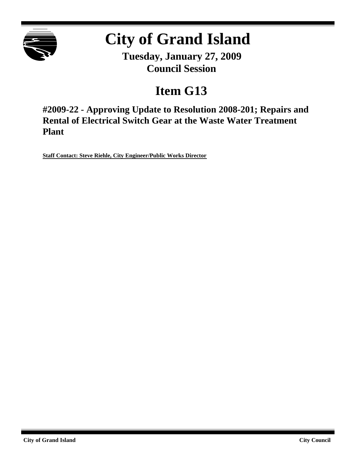

# **City of Grand Island**

**Tuesday, January 27, 2009 Council Session**

## **Item G13**

**#2009-22 - Approving Update to Resolution 2008-201; Repairs and Rental of Electrical Switch Gear at the Waste Water Treatment Plant**

**Staff Contact: Steve Riehle, City Engineer/Public Works Director**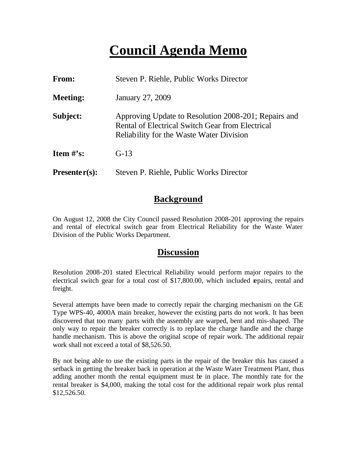### **Council Agenda Memo**

| <b>From:</b>    | Steven P. Riehle, Public Works Director                                                                                                              |  |
|-----------------|------------------------------------------------------------------------------------------------------------------------------------------------------|--|
| <b>Meeting:</b> | January 27, 2009                                                                                                                                     |  |
| Subject:        | Approving Update to Resolution 2008-201; Repairs and<br>Rental of Electrical Switch Gear from Electrical<br>Reliability for the Waste Water Division |  |
| Item $\#$ 's:   | $G-13$                                                                                                                                               |  |
| $Presenter(s):$ | Steven P. Riehle, Public Works Director                                                                                                              |  |

#### **Background**

On August 12, 2008 the City Council passed Resolution 2008-201 approving the repairs and rental of electrical switch gear from Electrical Reliability for the Waste Water Division of the Public Works Department.

#### **Discussion**

Resolution 2008-201 stated Electrical Reliability would perform major repairs to the electrical switch gear for a total cost of \$17,800.00, which included repairs, rental and freight.

Several attempts have been made to correctly repair the charging mechanism on the GE Type WPS-40, 4000A main breaker, however the existing parts do not work. It has been discovered that too many parts with the assembly are warped, bent and mis-shaped. The only way to repair the breaker correctly is to replace the charge handle and the charge handle mechanism. This is above the original scope of repair work. The additional repair work shall not exceed a total of \$8,526.50.

By not being able to use the existing parts in the repair of the breaker this has caused a setback in getting the breaker back in operation at the Waste Water Treatment Plant, thus adding another month the rental equipment must be in place. The monthly rate for the rental breaker is \$4,000, making the total cost for the additional repair work plus rental \$12,526.50.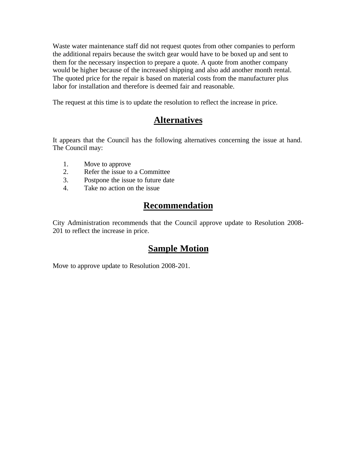Waste water maintenance staff did not request quotes from other companies to perform the additional repairs because the switch gear would have to be boxed up and sent to them for the necessary inspection to prepare a quote. A quote from another company would be higher because of the increased shipping and also add another month rental. The quoted price for the repair is based on material costs from the manufacturer plus labor for installation and therefore is deemed fair and reasonable.

The request at this time is to update the resolution to reflect the increase in price.

### **Alternatives**

It appears that the Council has the following alternatives concerning the issue at hand. The Council may:

- 1. Move to approve
- 2. Refer the issue to a Committee
- 3. Postpone the issue to future date
- 4. Take no action on the issue

#### **Recommendation**

City Administration recommends that the Council approve update to Resolution 2008- 201 to reflect the increase in price.

#### **Sample Motion**

Move to approve update to Resolution 2008-201.